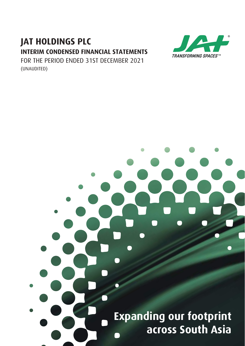# **JAT HOLDINGS PLC INTERIM CONDENSED FINANCIAL STATEMENTS**



FOR THE PERIOD ENDED 31ST DECEMBER 2021 (UNAUDITED)

# **Expanding our footprint across South Asia**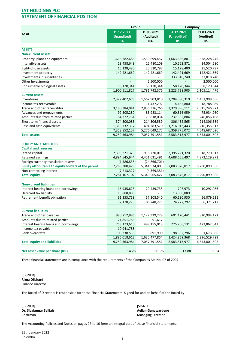# STATEMENT OF FINANCIAL POSITION

|                                                     | Group         |                | Company       |               |
|-----------------------------------------------------|---------------|----------------|---------------|---------------|
|                                                     | 31.12.2021    | 31.03.2021     | 31.12.2021    | 31.03.2021    |
| As at                                               | (Unaudited)   | (Audited)      | (Unaudited)   | (Audited)     |
|                                                     | Rs.           | Rs.            | Rs.           | Rs.           |
|                                                     |               |                |               |               |
| <b>ASSETS</b>                                       |               |                |               |               |
| <b>Non-current assets</b>                           |               |                |               |               |
| Property, plant and equipment                       | 1,666,382,685 | 1,530,699,457  | 1,663,686,801 | 1,528,228,246 |
| Intangible assets                                   | 18,458,649    | 22,480,109     | 10,562,871    | 14,504,680    |
| Right-of-use assets                                 | 15,128,480    | 25,520,797     | 15,128,480    | 25,520,797    |
| Investment property                                 | 142,421,669   | 142,421,669    | 142,421,669   | 142,421,669   |
| Investments in subsidiaries                         |               |                | 333,818,740   | 333,818,740   |
| Other Investments                                   |               | 2,500,000      |               | 2,500,000     |
| Consumable biological assets                        | 58,120,344    | 58,120,344     | 58,120,344    | 58,120,344    |
|                                                     | 1,900,511,827 | 1,781,742,376  | 2,223,738,905 | 2,105,114,476 |
| <b>Current assets</b>                               |               |                |               |               |
| Inventories                                         | 2,327,407,673 | 1,562,903,810  | 2,204,590,310 | 1,461,999,666 |
| Income tax recoverable                              |               | 11,437,292     | 4,462,880     | 18,788,089    |
| Trade and other receivables                         | 3,180,384,041 | 2,836,316,766  | 2,329,896,111 | 2,315,246,921 |
| Advances and prepayments                            | 92,505,280    | 85,983,114     | 60,816,959    | 75,934,260    |
| Amounts due from related parties                    | 64,322,761    | 70,818,034     | 237,562,804   | 246,056,188   |
| Short term financial assets                         | 374,500,085   | 214,306,589    | 306,432,565   | 214,306,589   |
| Cash and cash equivalents                           | 1,319,732,317 | 494,283,570    | 1,216,013,443 | 216,355,313   |
|                                                     | 7,358,852,157 | 5,276,049,175  | 6,359,775,072 | 4,548,687,026 |
| <b>Total assets</b>                                 | 9,259,363,984 | 7,057,791,551  | 8,583,513,977 | 6,653,801,502 |
| <b>EQUITY AND LIABILITIES</b>                       |               |                |               |               |
| <b>Capital and reserves</b>                         |               |                |               |               |
| Stated capital                                      | 2,395,221,320 | 918,770,013    | 2,395,221,320 | 918,770,013   |
| Retained earnings                                   | 4,894,545,944 | 4,451,031,491  | 4,688,655,497 | 4,372,129,973 |
| Foreign currency translation reserve                | (1,386,835)   | (24, 866, 701) |               |               |
| Equity attributable to equity holders of the parent | 7,288,380,429 | 5,344,934,803  | 7,083,876,817 | 5,290,899,986 |
| Non-controlling interest                            | (7, 213, 327) | (4,369,381)    |               |               |
| <b>Total equity</b>                                 | 7,281,167,102 | 5,340,565,422  | 7,083,876,817 | 5,290,899,986 |
| <b>Non-current liabilities</b>                      |               |                |               |               |
| Interest bearing loans and borrowings               | 16,935,623    | 29,439,735     | 707,973       | 10,292,086    |
| Deferred tax liability                              | 13,888,889    |                | 13,888,889    |               |
| Retirement benefit obligation                       | 61,353,758    | 57,308,540     | 60,180,930    | 56,079,631    |
|                                                     | 92,178,270    | 86,748,275     | 74,777,792    | 66,371,717    |
| <b>Current liabilities</b>                          |               |                |               |               |
| Trade and other payables                            | 990,712,896   | 1,127,339,229  | 601,120,441   | 820,994,171   |
| Amounts due to related parties                      | 21,851,785    | 91,617         |               |               |
| Interest bearing loans and borrowings               | 753,173,610   | 499,155,018    | 725,206,131   | 473,862,042   |
| Income tax payable                                  | 10,941,785    |                |               |               |
| <b>Bank overdrafts</b>                              | 109,338,536   | 3,891,990      | 98,532,796    | 1,673,586     |
|                                                     | 1,886,018,612 | 1,630,477,854  | 1,424,859,368 | 1,296,529,799 |
| <b>Total equity and liabilities</b>                 | 9,259,363,984 | 7,057,791,551  | 8,583,513,977 | 6,653,801,502 |
|                                                     |               |                |               |               |
| Net asset value per share (Rs.)                     | 14.28         | 11.76          | 13.88         | 11.64         |

These financial statements are in compliance with the requirements of the Companies Act No. 07 of 2007.

[SIGNED] Rizna Dilshard Finance Director

The Board of Directors is responsible for these Financial Statements. Signed for and on behalf of the Board by:

[SIGNED] [SIGNED] Chairman Managing Director

Aelian Gunawardene

The Accounting Policies and Notes on pages 07 to 10 form an integral part of these financial statements.

25th January 2022 Colombo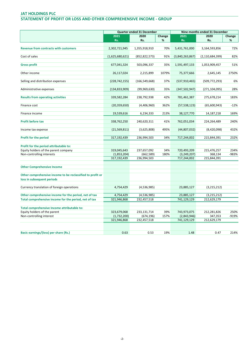# STATEMENT OF PROFIT OR LOSS AND OTHER COMPREHENSIVE INCOME - GROUP

|                                                            | Quarter ended 31 December |                 |        | Nine months ended 31 December |                    |        |
|------------------------------------------------------------|---------------------------|-----------------|--------|-------------------------------|--------------------|--------|
|                                                            | 2021                      | 2020            | Change | 2021                          | 2020               | Change |
|                                                            | Rs.                       | Rs.             | %      | Rs.                           | Rs.                | %      |
|                                                            |                           |                 |        |                               |                    |        |
| <b>Revenue from contracts with customers</b>               | 2,302,721,945             | 1,355,918,910   | 70%    | 5,431,761,000                 | 3,164,593,856      | 72%    |
|                                                            |                           |                 |        |                               |                    |        |
| Cost of sales                                              | (1,625,680,621)           | (852, 822, 573) | 91%    | (3,840,263,867)               | (2, 110, 684, 399) | 82%    |
| <b>Gross profit</b>                                        | 677,041,324               | 503,096,337     | 35%    | 1,591,497,133                 | 1,053,909,457      | 51%    |
|                                                            |                           |                 |        |                               |                    |        |
| Other income                                               | 26,117,024                | 2,215,899       | 1079%  | 75,377,666                    | 2,645,145          | 2750%  |
|                                                            |                           |                 |        |                               |                    |        |
| Selling and distribution expenses                          | (228, 742, 155)           | (166, 549, 668) | 37%    | (537, 910, 465)               | (509, 772, 293)    | 6%     |
|                                                            |                           |                 |        |                               |                    |        |
| Administrative expenses                                    | (134, 833, 909)           | (99, 969, 630)  | 35%    | (347,502,947)                 | (271, 104, 095)    | 28%    |
|                                                            |                           |                 |        |                               |                    |        |
| <b>Results from operating activities</b>                   | 339,582,284               | 238,792,938     | 42%    | 781,461,387                   | 275,678,214        | 183%   |
|                                                            |                           |                 |        |                               |                    |        |
| Finance cost                                               | (20, 359, 650)            | (4,406,960)     | 362%   | (57, 538, 123)                | (65,600,943)       | $-12%$ |
|                                                            |                           |                 |        |                               |                    |        |
| Finance income                                             | 19,539,616                | 6,234,333       | 213%   | 38,127,770                    | 14, 187, 218       | 169%   |
| <b>Profit before tax</b>                                   | 338,762,250               | 240,620,311     | 41%    | 762,051,034                   | 224,264,489        | 240%   |
|                                                            |                           |                 |        |                               |                    |        |
| Income tax expense                                         | (21, 569, 811)            | (3,625,808)     | 495%   | (44,807,032)                  | (8,420,098)        | 432%   |
|                                                            |                           |                 |        |                               |                    |        |
| <b>Profit for the period</b>                               | 317,192,439               | 236,994,503     | 34%    | 717,244,002                   | 215,844,391        | 232%   |
|                                                            |                           |                 |        |                               |                    |        |
| Profit for the period attributable to:                     |                           |                 |        |                               |                    |        |
| Equity holders of the parent company                       | 319,045,643               | 237,657,092     | 34%    | 720,493,209                   | 215,476,257        | 234%   |
| Non-controlling interests                                  | (1,853,204)               | (662, 589)      | 180%   | (3, 249, 207)                 | 368,134            | -983%  |
|                                                            | 317,192,439               | 236,994,503     |        | 717,244,002                   | 215,844,391        |        |
|                                                            |                           |                 |        |                               |                    |        |
| <b>Other Comprehensive Income</b>                          |                           |                 |        |                               |                    |        |
|                                                            |                           |                 |        |                               |                    |        |
| Other comprehensive income to be reclassified to profit or |                           |                 |        |                               |                    |        |
| loss in subsequent periods                                 |                           |                 |        |                               |                    |        |
|                                                            |                           |                 |        |                               |                    |        |
| Currency translation of foreign operations                 | 4,754,429                 | (4,536,985)     |        | 23,885,127                    | (3, 215, 212)      |        |
| Other comprehensive income for the period, net of tax      | 4,754,429                 | (4,536,985)     |        | 23,885,127                    | (3, 215, 212)      |        |
| Total comprehensive income for the period, net of tax      | 321,946,868               | 232,457,518     |        | 741,129,129                   | 212,629,179        |        |
|                                                            |                           |                 |        |                               |                    |        |
| Total comprehensive Income attributable to:                |                           |                 |        |                               |                    |        |
| Equity holders of the parent                               | 323,679,068               | 233,131,714     | 39%    | 743,973,075                   | 212,281,826        | 250%   |
| Non-controlling interest                                   | (1,732,200)               | (674, 196)      | 157%   | (2,843,946)                   | 347,353            | -919%  |
|                                                            | 321,946,868               | 232,457,518     |        | 741,129,129                   | 212,629,179        |        |
|                                                            |                           |                 |        |                               |                    |        |
|                                                            |                           |                 |        |                               |                    |        |
| Basic earnings/(loss) per share (Rs.)                      | 0.63                      | 0.53            | 19%    | 1.48                          | 0.47               | 214%   |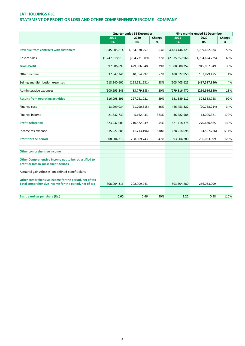#### STATEMENT OF PROFIT OR LOSS AND OTHER COMPREHENSIVE INCOME - COMPANY

|                                                       |                          | Quarter ended 31 December |        |                          | Nine months ended 31 December |        |
|-------------------------------------------------------|--------------------------|---------------------------|--------|--------------------------|-------------------------------|--------|
|                                                       | 2021                     | 2020                      | Change | 2021                     | 2020                          | Change |
|                                                       | Rs.                      | Rs.                       | %      | Rs.                      | Rs.                           | %      |
|                                                       |                          |                           |        |                          |                               |        |
| <b>Revenue from contracts with customers</b>          | 1,845,005,814            | 1,134,078,257             | 63%    | 4,183,446,323            | 2,739,632,674                 | 53%    |
|                                                       |                          |                           |        |                          |                               |        |
| Cost of sales                                         | (1, 247, 918, 915)       | (704, 771, 309)           | 77%    | (2,875,357,966)          | (1,794,624,725)               | 60%    |
| <b>Gross Profit</b>                                   | 597,086,899              | 429,306,948               | 39%    | 1,308,088,357            | 945,007,949                   | 38%    |
|                                                       |                          |                           |        |                          |                               |        |
| Other Income                                          | 37,547,241               | 40,354,992                | $-7%$  | 108,522,850              | 107,879,475                   | 1%     |
|                                                       |                          |                           |        |                          |                               |        |
| Selling and distribution expenses                     | (218, 240, 601)          | (158, 631, 531)           | 38%    | (505, 405, 625)          | (487, 517, 336)               | 4%     |
|                                                       |                          |                           |        |                          |                               |        |
| Administrative expenses                               | (100, 295, 243)          | (83, 779, 388)            | 20%    | (279, 316, 470)          | (236,986,330)                 | 18%    |
|                                                       |                          |                           |        |                          |                               |        |
| <b>Results from operating activities</b>              | 316,098,296              | 227,251,021               | 39%    | 631,889,112              | 328,383,758                   | 92%    |
| Finance cost                                          | (13,999,034)             | (21,790,515)              | $-36%$ | (46, 453, 322)           | (70, 758, 214)                | $-34%$ |
|                                                       |                          |                           |        |                          |                               |        |
| Finance income                                        | 21,832,739               | 5,162,433                 | 323%   | 36,282,588               | 13,005,321                    | 179%   |
|                                                       |                          |                           |        |                          |                               |        |
| <b>Profit before tax</b>                              | 323,932,001              | 210,622,939               | 54%    | 621,718,378              | 270,630,865                   | 130%   |
|                                                       |                          |                           |        |                          |                               |        |
| Income tax expense                                    | (15, 927, 685)           | (1,713,196)               | 830%   | (28, 214, 098)           | (4,597,766)                   | 514%   |
| <b>Profit for the period</b>                          | 308,004,316              | 208,909,743               | 47%    | 593,504,280              | 266,033,099                   | 123%   |
|                                                       |                          |                           |        |                          |                               |        |
|                                                       |                          |                           |        |                          |                               |        |
| Other comprehensive income                            |                          |                           |        |                          |                               |        |
|                                                       |                          |                           |        |                          |                               |        |
| Other Comprehensive Income not to be reclassified to  |                          |                           |        |                          |                               |        |
| profit or loss in subsequent periods                  |                          |                           |        |                          |                               |        |
|                                                       |                          |                           |        |                          |                               |        |
| Actuarial gains/(losses) on defined benefit plans     | $\overline{\phantom{a}}$ | $\overline{\phantom{a}}$  |        | $\overline{\phantom{a}}$ | $\overline{\phantom{a}}$      |        |
| Other comprehensive income for the period, net of tax | $\overline{a}$           | ÷                         |        |                          |                               |        |
| Total comprehensive income for the period, net of tax | 308,004,316              | 208,909,743               |        | 593,504,280              | 266,033,099                   |        |
|                                                       |                          |                           |        |                          |                               |        |
|                                                       |                          |                           |        |                          |                               |        |
| <b>Basic earnings per share (Rs.)</b>                 | 0.60                     | 0.46                      | 30%    | 1.22                     | 0.58                          | 110%   |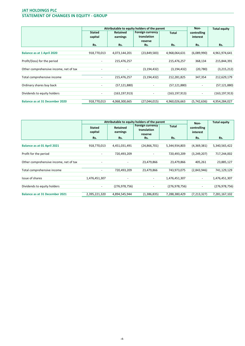# JAT HOLDINGS PLC STATEMENT OF CHANGES IN EQUITY - GROUP

|                                        | Attributable to equity holders of the parent |                          |                          |                 | Non-                     | <b>Total equity</b> |
|----------------------------------------|----------------------------------------------|--------------------------|--------------------------|-----------------|--------------------------|---------------------|
|                                        | <b>Stated</b>                                | <b>Retained</b>          | <b>Foreign currency</b>  | <b>Total</b>    | controlling              |                     |
|                                        | capital                                      | earnings                 | translation              |                 | interest                 |                     |
|                                        |                                              |                          | reserve                  |                 |                          |                     |
|                                        | Rs.                                          | Rs.                      | Rs.                      | Rs.             | Rs.                      | Rs.                 |
|                                        |                                              |                          |                          |                 |                          |                     |
| <b>Balance as at 1 April 2020</b>      | 918,770,013                                  | 4,073,144,201            | (23,849,583)             | 4,968,064,631   | (6,089,990)              | 4,961,974,641       |
|                                        |                                              |                          |                          |                 |                          |                     |
| Profit/(loss) for the period           | $\overline{\phantom{a}}$                     | 215,476,257              | $\overline{\phantom{a}}$ | 215,476,257     | 368,134                  | 215,844,391         |
| Other comprehensive income, net of tax |                                              | $\overline{\phantom{a}}$ | (3, 194, 432)            | (3, 194, 432)   | (20, 780)                | (3,215,212)         |
|                                        |                                              |                          |                          |                 |                          |                     |
| Total comprehensive income             | $\qquad \qquad \blacksquare$                 | 215,476,257              | (3, 194, 432)            | 212,281,825     | 347,354                  | 212,629,179         |
|                                        |                                              |                          |                          |                 |                          |                     |
| Ordinary shares buy back               | $\overline{\phantom{a}}$                     | (57, 121, 880)           | $\overline{\phantom{a}}$ | (57,121,880)    |                          | (57, 121, 880)      |
|                                        |                                              |                          |                          |                 |                          |                     |
| Dividends to equity holders            | $\overline{\phantom{a}}$                     | (163, 197, 913)          | $\overline{\phantom{a}}$ | (163, 197, 913) | $\overline{\phantom{a}}$ | (163, 197, 913)     |
|                                        |                                              |                          |                          |                 |                          |                     |
| <b>Balance as at 31 December 2020</b>  | 918,770,013                                  | 4,068,300,665            | (27,044,015)             | 4,960,026,663   | (5,742,636)              | 4,954,284,027       |

|                                        | Attributable to equity holders of the parent |                             |                                            |                 | Non-                     | <b>Total equity</b> |
|----------------------------------------|----------------------------------------------|-----------------------------|--------------------------------------------|-----------------|--------------------------|---------------------|
|                                        | <b>Stated</b><br>capital                     | <b>Retained</b><br>earnings | Foreign currency<br>translation<br>reserve | <b>Total</b>    | controlling<br>interest  |                     |
|                                        | Rs.                                          | Rs.                         | Rs.                                        | Rs.             | Rs.                      | Rs.                 |
|                                        |                                              |                             |                                            |                 |                          |                     |
| Balance as at 01 April 2021            | 918,770,013                                  | 4,451,031,491               | (24, 866, 701)                             | 5,344,934,803   | (4,369,381)              | 5,340,565,422       |
|                                        |                                              |                             |                                            |                 |                          |                     |
| Profit for the period                  | $\overline{\phantom{a}}$                     | 720,493,209                 | $\overline{\phantom{a}}$                   | 720,493,209     | (3,249,207)              | 717,244,002         |
|                                        |                                              |                             |                                            |                 |                          |                     |
| Other comprehensive income, net of tax |                                              | $\overline{\phantom{a}}$    | 23,479,866                                 | 23,479,866      | 405,261                  | 23,885,127          |
|                                        |                                              |                             |                                            |                 |                          |                     |
| Total comprehensive income             | $\overline{\phantom{a}}$                     | 720,493,209                 | 23,479,866                                 | 743,973,075     | (2,843,946)              | 741,129,129         |
|                                        |                                              |                             |                                            |                 |                          |                     |
| Issue of shares                        | 1,476,451,307                                | $\overline{\phantom{a}}$    | $\overline{\phantom{a}}$                   | 1,476,451,307   | $\overline{\phantom{a}}$ | 1,476,451,307       |
|                                        |                                              |                             |                                            |                 |                          |                     |
| Dividends to equity holders            | $\overline{\phantom{a}}$                     | (276, 978, 756)             | $\overline{\phantom{a}}$                   | (276, 978, 756) | $\overline{\phantom{0}}$ | (276, 978, 756)     |
|                                        |                                              |                             |                                            |                 |                          |                     |
| <b>Balance as at 31 December 2021</b>  | 2,395,221,320                                | 4,894,545,944               | (1,386,835)                                | 7,288,380,429   | (7,213,327)              | 7,281,167,102       |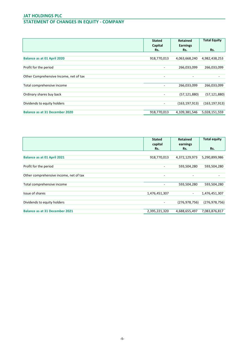# JAT HOLDINGS PLC STATEMENT OF CHANGES IN EQUITY - COMPANY

| Capital                  |                 |                 |
|--------------------------|-----------------|-----------------|
|                          | <b>Earnings</b> |                 |
| Rs.                      | Rs.             | Rs.             |
|                          |                 |                 |
| 918,770,013              | 4,063,668,240   | 4,982,438,253   |
|                          |                 |                 |
| ۰                        | 266,033,099     | 266,033,099     |
|                          |                 |                 |
| $\overline{\phantom{a}}$ |                 |                 |
|                          |                 |                 |
|                          | 266,033,099     | 266,033,099     |
|                          |                 |                 |
| ۰                        | (57, 121, 880)  | (57, 121, 880)  |
|                          |                 |                 |
| ۰                        | (163, 197, 913) | (163, 197, 913) |
|                          |                 |                 |
| 918,770,013              | 4,109,381,546   | 5,028,151,559   |
|                          |                 |                 |

|                                        | <b>Stated</b> | <b>Retained</b> | <b>Total equity</b> |
|----------------------------------------|---------------|-----------------|---------------------|
|                                        | capital       | earnings        |                     |
|                                        | Rs.           | Rs.             | Rs.                 |
|                                        |               |                 |                     |
| Balance as at 01 April 2021            | 918,770,013   | 4,372,129,973   | 5,290,899,986       |
|                                        |               |                 |                     |
| Profit for the period                  | ۰             | 593,504,280     | 593,504,280         |
|                                        |               |                 |                     |
| Other comprehensive income, net of tax | ٠             | ٠               |                     |
|                                        |               |                 |                     |
| Total comprehensive income             | ۰             | 593,504,280     | 593,504,280         |
|                                        |               |                 |                     |
| Issue of shares                        | 1,476,451,307 | $\sim$          | 1,476,451,307       |
|                                        |               |                 |                     |
| Dividends to equity holders            | ٠             | (276, 978, 756) | (276, 978, 756)     |
|                                        |               |                 |                     |
| <b>Balance as at 31 December 2021</b>  | 2,395,221,320 | 4,688,655,497   | 7,083,876,817       |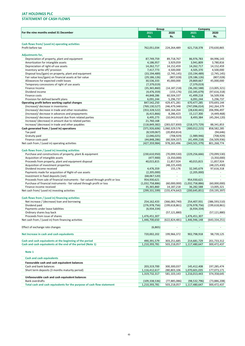# STATEMENT OF CASH FLOWS

|                                                                                  | Group                    |                          | Company                  |                          |
|----------------------------------------------------------------------------------|--------------------------|--------------------------|--------------------------|--------------------------|
| For the nine months ended 31 December                                            | 2021                     | 2020                     | 2021                     | 2020                     |
|                                                                                  | Rs.                      | Rs.                      | Rs.                      | Rs.                      |
|                                                                                  |                          |                          |                          |                          |
| Cash flows from/ (used in) operating activities                                  |                          |                          |                          |                          |
| Profit before tax                                                                | 762,051,034              | 224,264,489              | 621,718,378              | 270,630,865              |
|                                                                                  |                          |                          |                          |                          |
| Adjustments for,                                                                 |                          |                          |                          |                          |
| Depreciation of property, plant and equipment                                    | 87,749,759               | 89,718,767               | 86,976,783               | 84,996,143               |
| Amortization for intangible assets                                               | 4,186,957                | 3,929,059                | 3,941,809                | 3,780,816                |
| Depreciation of right-of-use assets                                              | 14,262,717               | 14,152,459               | 14,262,717               | 14,152,459               |
| Inventory write off/ provision                                                   | 7,417,773                | 4,500,000                | 4,505,370                | 4,500,000                |
| Disposal loss/(gain) on property, plant and equipment                            | (33, 194, 489)           | (2,745,145)              | (33, 194, 489)           | (2,745,145)              |
| Fair value loss/(gain) on financial assets at fair value                         | (29, 186, 126)           | (807, 028)               | (29, 186, 126)           | (807, 028)               |
| Allowances for expected credit losses                                            | 30,536,333               | 45,000,000               | 29,869,667               | 45,000,000               |
| Temporary concessions of right of use assets                                     | (7,379,019)              |                          | (7, 379, 019)            |                          |
| Finance Income                                                                   | (35, 365, 860)           | (14, 187, 218)           | (36, 282, 588)           | (13,005,321)             |
| Dividend income                                                                  | (4,476,359)              | (155, 176)               | (32, 345, 679)           | (97,616,318)             |
| Finance costs                                                                    | 44,848,286               | 60,504,337               | 41,499,218               | 56,509,936               |
| Provision for defined benefit plans                                              | 6,091,244                | 5,296,737                | 6,091,244                | 5,296,737                |
| Operating profit before working capital changes                                  | 847,542,250              | 429,471,281              | 670,477,285              | 370,693,144              |
| (Increase)/ decrease in inventories                                              | (769, 130, 527)          | 246,479,348              | (747, 096, 014)          | 242,264,379              |
| (Increase)/ decrease in trade and other receivables                              | (353, 328, 522)          | 669,164,264              | (28, 630, 441)           | 206,996,497              |
| (Increase)/ decrease in advances and prepayments                                 | (6,415,866)              | 8,286,423                | 15,117,300               | (4,449,468)              |
| (Increase)/ decrease in amount due from related parties                          | 6,495,273                | (10,043,910)             | 8,493,384                | (45, 264, 120)           |
| Increase/ (decrease) in amount due to related parties                            | 21,760,168               | $\overline{\phantom{a}}$ | $\overline{\phantom{a}}$ |                          |
| Increase/ (decrease) in trade and other payables                                 | (118, 849, 382)          | (283, 027, 830)          | (218, 373, 729)          | 88,341,853               |
| Cash generated from / (used in) operations                                       | (371, 926, 606)          | 1,060,329,576            |                          | 858,582,285              |
|                                                                                  |                          | (20, 850, 814)           | (300, 012, 215)          |                          |
| Tax paid                                                                         | (8,539,067)              |                          |                          | (94, 646)                |
| Gratuity paid                                                                    | (2,046,025)              | (708, 929)               | (1,989,946)              | (708, 929)               |
| Finance costs paid                                                               | (44, 848, 286)           | (60, 504, 337)           | (41, 499, 218)           | (56, 509, 936)           |
| Net cash from / (used in) operating activities                                   | (427,359,984)            | 978,265,496              | (343,501,379)            | 801,268,774              |
|                                                                                  |                          |                          |                          |                          |
| Cash flows from / (used in) investing activities                                 |                          |                          |                          |                          |
| Purchase and constructions of property, plant & equipment                        | (230,610,950)            | (70,099,530)             | (229, 256, 666)          | (70,099,530)             |
| Acquisition of intangible assets                                                 | (477,900)                | (3,350,000)              |                          | (3,350,000)              |
| Proceeds from property, plant and equipment disposal                             | 40,015,815               | 11,857,924               | 40,015,815               | 11,857,924               |
| Acquisition of investment properties                                             | ÷.                       | (48, 225, 430)           | $\omega$ .               | (48, 225, 430)           |
| Dividend income received                                                         | 4,476,359                | 155,176                  | 32,345,679               | 97,616,318               |
| Payments made for acquisition of Right-of-use assets                             | (2,205,000)              | $\sim$                   | (2,205,000)              |                          |
| Investment in fixed deposits (net)                                               | (68,067,520)             | $\overline{\phantom{a}}$ |                          | $\sim$                   |
| Proceeds from sale of financial instruments - fair valued through profit or loss | 954,930,621              | $\overline{\phantom{a}}$ | 954,930,621              | ÷                        |
| Purchase of financial instruments - fair valued through profit or loss           | (1,032,758,886)          | (60,000,000)             | (1,032,758,886)          | (60,000,000)             |
| Finance income received                                                          | 35,365,860               | 14,187,218               | 36,282,588               | 13,005,321               |
| Net cash from/ (used in) investing activities                                    | (299,331,599)            | (155, 474, 642)          | (200, 645, 851)          | (59, 195, 397)           |
|                                                                                  |                          |                          |                          |                          |
| Cash flows from / (used in) financing activities                                 |                          |                          |                          |                          |
| Net increase / (decrease) loan and borrowing                                     | 254,162,433              | (366,083,740)            | 254,407,931              | (386, 593, 510)          |
| Dividend paid                                                                    | (276, 978, 756)          | (199, 618, 861)          | (276, 978, 756)          | (199, 618, 861)          |
| Payments under lease liabilities                                                 | (6,934,334)              | $\overline{\phantom{a}}$ | (6,934,334)              |                          |
| Ordinary shares buy back                                                         | $\overline{\phantom{a}}$ | (57, 121, 880)           | $\overline{\phantom{a}}$ | (57, 121, 880)           |
| Proceeds from issue of shares                                                    | 1,476,451,307            | $\sim$                   | 1,476,451,307            |                          |
| Net cash from / (used in) from financing activities                              | 1,446,700,650            | (622, 824, 481)          | 1,446,946,148            | (643, 334, 251)          |
|                                                                                  |                          |                          |                          |                          |
| Effect of exchange rate changes                                                  | (6, 865)                 | ä,                       |                          | $\overline{\phantom{a}}$ |
|                                                                                  |                          |                          |                          |                          |
| Net Increase in cash and cash equivalents                                        | 720,002,202              | 199,966,372              | 902,798,918              | 98,739,125               |
|                                                                                  |                          |                          |                          |                          |
| Cash and cash equivalents at the beginning of the period                         | 490,391,579              | 303,251,685              | 214,681,729              | 201,733,312              |
| Cash and cash equivalents at the end of the period (Note 1)                      | 1,210,393,781            | 503,218,057              | 1,117,480,647            | 300,472,437              |
|                                                                                  |                          |                          |                          |                          |
| Note 1                                                                           |                          |                          |                          |                          |
|                                                                                  |                          |                          |                          |                          |
| <b>Cash and cash equivalents</b>                                                 |                          |                          |                          |                          |
| Favourable cash and cash equivalent balances                                     |                          |                          |                          |                          |
| Cash and bank balances                                                           | 203,319,700              | 300,300,037              | 145,412,408              | 197,285,474              |
| Short term deposits (3 months maturity period)                                   | 1,116,412,617            | 280,803,106              | 1,070,601,035            | 177,073,171              |
|                                                                                  | 1,319,732,317            | 581,103,143              | 1,216,013,443            | 374,358,645              |
| Unfavourable cash and cash equivalent balances                                   |                          |                          |                          |                          |
| <b>Bank overdrafts</b>                                                           | (109, 338, 536)          | (77,885,086)             | (98, 532, 796)           | (73,886,208)             |
| Total cash and cash equivalents for the purpose of cash flow statement           | 1,210,393,781            | 503,218,057              | 1,117,480,647            | 300,472,437              |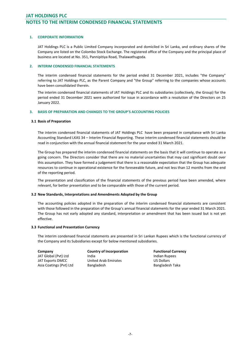# JAT HOLDINGS PLC NOTES TO THE INTERIM CONDENSED FINANCIAL STATEMENTS

#### 1. CORPORATE INFORMATION

JAT Holdings PLC is a Public Limited Company incorporated and domiciled in Sri Lanka, and ordinary shares of the Company are listed on the Colombo Stock Exchange. The registered office of the Company and the principal place of business are located at No. 351, Pannipitiya Road, Thalawathugoda.

#### 2. INTERIM CONDENSED FINANCIAL STATEMENTS

The interim condensed financial statements for the period ended 31 December 2021, includes "the Company" referring to JAT Holdings PLC, as the Parent Company and "the Group" referring to the companies whose accounts have been consolidated therein.

The interim condensed financial statements of JAT Holdings PLC and its subsidiaries (collectively, the Group) for the period ended 31 December 2021 were authorized for issue in accordance with a resolution of the Directors on 25 January 2022.

## 3. BASIS OF PREPARATION AND CHANGES TO THE GROUP'S ACCOUNTING POLICIES

#### 3.1 Basis of Preparation

The interim condensed financial statements of JAT Holdings PLC have been prepared in compliance with Sri Lanka Accounting Standard LKAS 34 – Interim Financial Reporting. These interim condensed financial statements should be read in conjunction with the annual financial statement for the year ended 31 March 2021.

The Group has prepared the interim condensed financial statements on the basis that it will continue to operate as a going concern. The Directors consider that there are no material uncertainties that may cast significant doubt over this assumption. They have formed a judgement that there is a reasonable expectation that the Group has adequate resources to continue in operational existence for the foreseeable future, and not less than 12 months from the end of the reporting period.

The presentation and classification of the financial statements of the previous period have been amended, where relevant, for better presentation and to be comparable with those of the current period.

#### 3.2 New Standards, Interpretations and Amendments Adopted by the Group

The accounting policies adopted in the preparation of the interim condensed financial statements are consistent with those followed in the preparation of the Group's annual financial statements for the year ended 31 March 2021. The Group has not early adopted any standard, interpretation or amendment that has been issued but is not yet effective.

#### 3.3 Functional and Presentation Currency

The interim condensed financial statements are presented in Sri Lankan Rupees which is the functional currency of the Company and its Subsidiaries except for below mentioned subsidiaries.

| Company                 | <b>Country of Incorporation</b> | <b>Functional Currency</b> |
|-------------------------|---------------------------------|----------------------------|
| JAT Global (Pvt) Ltd    | India                           | Indian Rupees              |
| JAT Exports DMCC        | <b>United Arab Emirates</b>     | US Dollars                 |
| Asia Coatings (Pvt) Ltd | Bangladesh                      | Bangladesh Taka            |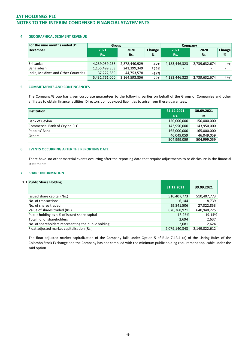# NOTES TO THE INTERIM CONDENSED FINANCIAL STATEMENTS

#### 4. GEOGRAPHICAL SEGMENT REVENUE

| For the nine months ended 31        | Group         |               |        | Company                  |                          |                          |  |
|-------------------------------------|---------------|---------------|--------|--------------------------|--------------------------|--------------------------|--|
| December                            | 2021          | 2020          | Change | 2021                     | 2020                     | Change                   |  |
|                                     | Rs.           | Rs.           | %      | Rs.                      | Rs.                      | %                        |  |
|                                     |               |               |        |                          |                          |                          |  |
| Sri Lanka                           | 4,239,039,258 | 2,878,440,929 | 47%    | 4,183,446,323            | 2,739,632,674            | 53%                      |  |
| Bangladesh                          | 1,155,499,353 | 241,399,349   | 379%   | -                        |                          | $\overline{\phantom{0}}$ |  |
| India, Maldives and Other Countries | 37,222,389    | 44,753,578    | $-17%$ | $\overline{\phantom{0}}$ | $\overline{\phantom{0}}$ |                          |  |
|                                     | 5,431,761,000 | 3,164,593,856 | 72%    | 4,183,446,323            | 2,739,632,674            | 53%                      |  |

#### 5. COMMITMENTS AND CONTINGENCIES

The Company/Group has given corporate guarantees to the following parties on behalf of the Group of Companies and other affiliates to obtain finance facilities. Directors do not expect liabilities to arise from these guarantees.

| Institution                   | 31.12.2021  | 30.09.2021  |
|-------------------------------|-------------|-------------|
|                               | Rs.         | Rs.         |
| Bank of Ceylon                | 150,000,000 | 150,000,000 |
| Commercial Bank of Ceylon PLC | 143,950,000 | 143,950,000 |
| Peoples' Bank                 | 165,000,000 | 165,000,000 |
| Others                        | 46,049,059  | 46,049,059  |
|                               | 504,999,059 | 504,999,059 |

#### 6. EVENTS OCCURRING AFTER THE REPORTING DATE

There have no other material events occurring after the reporting date that require adjustments to or disclosure in the financial statements.

#### 7. SHARE INFORMATION

# 7.1 Public Share Holding

| $\sim$ 0.0116 3116 6.116 6.11116                    | 31.12.2021    | 30.09.2021    |
|-----------------------------------------------------|---------------|---------------|
| Issued share capital (No.)                          | 510,407,773   | 510,407,773   |
| No. of transactions                                 | 6,144         | 8,739         |
| No. of shares traded                                | 29,841,506    | 27,322,853    |
| Value of shares traded (Rs.)                        | 670,768,921   | 640,940,225   |
| Public holding as a % of issued share capital       | 18.95%        | 19.14%        |
| Total no. of shareholders                           | 2,694         | 2,637         |
| No. of shareholders representing the public holding | 2,681         | 2,624         |
| Float adjusted market capitalisation (Rs.)          | 2,079,140,343 | 2,149,022,612 |

The float adjusted market capitalization of the Company falls under Option 5 of Rule 7.13.1 (a) of the Listing Rules of the Colombo Stock Exchange and the Company has not complied with the minimum public holding requirement applicable under the said option.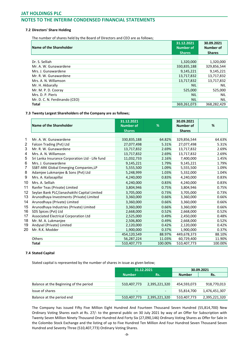# NOTES TO THE INTERIM CONDENSED FINANCIAL STATEMENTS

#### 7.2 Directors' Share Holding

The number of shares held by the Board of Directors and CEO are as follows;

| Name of the Shareholder       | 31.12.2021<br><b>Number of</b> | 30.09.2021<br><b>Number of</b> |
|-------------------------------|--------------------------------|--------------------------------|
|                               | <b>Shares</b>                  | <b>Shares</b>                  |
|                               |                                |                                |
| Dr. S. Selliah                | 1,320,000                      | 1,320,000                      |
| Mr. A. W. Gunawardene         | 330,835,188                    | 329,856,544                    |
| Mrs. J. Gunawardene           | 9,145,221                      | 9,145,221                      |
| Mr. R. W. Gunawardene         | 13,717,832                     | 13,717,832                     |
| Mrs. A. N. Willamson          | 13,717,832                     | 13,717,832                     |
| Mr. H. Akbarally              | <b>NIL</b>                     | <b>NIL</b>                     |
| Mr. M. P. D. Cooray           | 525,000                        | 525,000                        |
| Mrs. D. P. Pieris             | <b>NIL</b>                     | <b>NIL</b>                     |
| Mr. D. C. N. Ferdinando (CEO) | <b>NIL</b>                     | <b>NIL</b>                     |
| <b>Total</b>                  | 369,261,073                    | 368.282.429                    |

#### 7.3 Twenty Largest Shareholders of the Company are as follows;

|        | Name of the Shareholder                         | 31.12.2021<br><b>Number of</b><br><b>Shares</b> | %       | 30.09.2021<br>Number of<br><b>Shares</b> | %       |
|--------|-------------------------------------------------|-------------------------------------------------|---------|------------------------------------------|---------|
|        |                                                 |                                                 |         |                                          |         |
| 1<br>2 | Mr. A. W. Gunawardene                           | 330,835,188                                     | 64.82%  | 329,856,544                              | 64.63%  |
|        | Falcon Trading (Pvt) Ltd                        | 27,077,498                                      | 5.31%   | 27,077,498                               | 5.31%   |
| 3      | Mr. R. W. Gunawardene                           | 13,717,832                                      | 2.69%   | 13,717,832                               | 2.69%   |
| 4      | Mrs. A. N. Willamson                            | 13,717,832                                      | 2.69%   | 13,717,832                               | 2.69%   |
| 5      | Sri Lanka Insurance Corporation Ltd - Life fund | 11,032,733                                      | 2.16%   | 7,400,000                                | 1.45%   |
| 6      | Mrs. J. Gunawardene                             | 9,145,221                                       | 1.79%   | 9,145,221                                | 1.79%   |
| 7      | SSBT-ARK Global Emerging Companies, LP          | 5,555,500                                       | 1.09%   | 5,555,500                                | 1.09%   |
| 8      | Adamjee Lukmanjee & Sons (Pvt) Ltd              | 5,248,999                                       | 1.03%   | 5,332,000                                | 1.04%   |
| 9      | Mrs. A. Kailasapillai                           | 4,240,000                                       | 0.83%   | 4,240,000                                | 0.83%   |
| 10     | Mrs. A. Selliah                                 | 4,240,000                                       | 0.83%   | 4,240,000                                | 0.83%   |
| 11     | Ranfer Teas (Private) Limited                   | 3,804,946                                       | 0.75%   | 3,804,946                                | 0.75%   |
| 12     | Seylan Bank PLC/Janashakthi Capital Limited     | 3,705,000                                       | 0.73%   | 3,705,000                                | 0.73%   |
| 13     | Arunodhaya Investments (Private) Limited        | 3,360,000                                       | 0.66%   | 3,360,000                                | 0.66%   |
| 14     | Arunodhaya (Private) Limited                    | 3,360,000                                       | 0.66%   | 3,360,000                                | 0.66%   |
| 15     | Arunodhaya Industries (Private) Limited         | 3,360,000                                       | 0.66%   | 3,360,000                                | 0.66%   |
| 16     | SDS Spices (Pvt) Ltd                            | 2,668,000                                       | 0.52%   | 2,668,000                                | 0.52%   |
| 17     | Associated Electrical Corporation Ltd           | 2,525,000                                       | 0.49%   | 2,450,000                                | 0.48%   |
| 18     | Mr. M. A. Lukmanjee                             | 2,506,800                                       | 0.49%   | 2,668,000                                | 0.52%   |
| 19     | Andysel (Private) Limited                       | 2,120,000                                       | 0.42%   | 2,120,000                                | 0.42%   |
| 20     | Mr. R.K. Modder                                 | 1,900,000                                       | 0.37%   | 1,900,000                                | 0.37%   |
|        |                                                 | 454,120,549                                     | 88.97%  | 449,678,373                              | 88.10%  |
|        | Others                                          | 56,287,224                                      | 11.03%  | 60,729,400                               | 11.90%  |
|        | <b>Total</b>                                    | 510,407,773                                     | 100.00% | 510,407,773                              | 100.00% |

#### 7.4 Stated Capital

Stated capital is represented by the number of shares in issue as given below;

|                                        | 31.12.2021    |               | 30.09.2021    |               |  |
|----------------------------------------|---------------|---------------|---------------|---------------|--|
|                                        | <b>Number</b> | Rs.           | <b>Number</b> | Rs.           |  |
|                                        |               |               |               |               |  |
| Balance at the Beginning of the period | 510,407,773   | 2,395,221,320 | 454,593,073   | 918,770,013   |  |
| Issue of shares                        | -             |               | 55,814,700    | 1,476,451,307 |  |
|                                        |               |               |               |               |  |
| Balance at the period end              | 510,407,773   | 2,395,221,320 | 510,407,773   | 2,395,221,320 |  |

The Company has issued Fifty Five Million Eight Hundred And Fourteen Thousand Seven Hundred (55,814,700) New Ordinary Voting Shares each at Rs. 27/- to the general public on 30 July 2021 by way of an Offer for Subscription with Twenty Seven Million Ninety Thousand One Hundred And Forty Six (27,090,146) Ordinary Voting Shares as Offer for Sale in the Colombo Stock Exchange and the listing of up to Five Hundred Ten Million And Four Hundred Seven Thousand Seven Hundred and Seventy Three (510,407,773) Ordinary Voting Shares.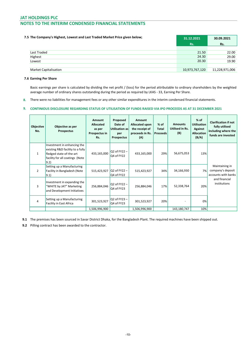# NOTES TO THE INTERIM CONDENSED FINANCIAL STATEMENTS

| 7.5 The Company's Highest, Lowest and Last Traded Market Price given below; | 31.12.2021     | 30.09.2021     |  |
|-----------------------------------------------------------------------------|----------------|----------------|--|
|                                                                             | Rs.            | Rs.            |  |
|                                                                             |                |                |  |
| Last Traded                                                                 | 21.50          | 22.00          |  |
| Highest                                                                     | 24.30          | 29.00          |  |
| Lowest                                                                      | 20.30          | 19.90          |  |
|                                                                             |                |                |  |
| <b>Market Capitalisation</b>                                                | 10,973,767,120 | 11,228,971,006 |  |

#### 7.6 Earning Per Share

Basic earnings per share is calculated by dividing the net profit / (loss) for the period attributable to ordinary shareholders by the weighted average number of ordinary shares outstanding during the period as required by LKAS - 33, Earning Per Share.

8. There were no liabilities for management fees or any other similar expenditures in the interim condensed financial statements.

#### 9. CONTINIOUS DISCLOSURE REGARDING STATUS OF UTILISATION OF FUNDS RAISED VIA IPO PROCEEDS AS AT 31 DECEMBER 2021

| Objective<br>No. | Objective as per<br><b>Prospectus</b>                                                                                                  | Amount<br><b>Allocated</b><br>as per<br>Prospectus in<br>Rs. | Proposed<br>Date of<br>Utilisation as<br>per<br>Prospectus | Amount<br>Allocated upon<br>the receipt of<br>proceeds in Rs.<br>(A) | $%$ of<br>Total<br><b>Proceeds</b> | <b>Amounts</b><br>Utilised in Rs.<br>(B) | $%$ of<br><b>Utilisation</b><br>Against<br><b>Allocation</b><br>(B/A) | <b>Clarification if not</b><br>fully utilised<br>including where the<br>funds are invested |
|------------------|----------------------------------------------------------------------------------------------------------------------------------------|--------------------------------------------------------------|------------------------------------------------------------|----------------------------------------------------------------------|------------------------------------|------------------------------------------|-----------------------------------------------------------------------|--------------------------------------------------------------------------------------------|
| 1                | Investment in enhancing the<br>existing R&D facility to a fully<br>fledged state-of-the-art<br>facility for all coatings (Note<br>9.2) | 433,165,000                                                  | $Q2$ of FY22 $-$<br>Q4 of FY22                             | 433,165,000                                                          | 29%                                | 56,675,053                               | 13%                                                                   |                                                                                            |
| $\mathcal{P}$    | Setting up a Manufacturing<br>Facility in Bangladesh (Note<br>$ 9.1\rangle$                                                            | 515,423,927                                                  | Q2 of $FY22 -$<br>Q4 of FY22                               | 515,423,927                                                          | 34%                                | 34,166,930                               | 7%                                                                    | Maintaining in<br>company's deposit<br>accounts with banks                                 |
| 3                | Investment in expanding the<br>"WHITE by JAT" Marketing<br>and Development Initiatives                                                 | 256,884,046                                                  | Q2 of FY22 -<br>Q4 of FY23                                 | 256,884,046                                                          | 17%                                | 52,338,764                               | 20%                                                                   | and financial<br>institutions                                                              |
| 4                | Setting up a Manufacturing<br>Facility in East Africa                                                                                  | 301,523,927                                                  | Q2 of FY23-<br>Q4 of FY23                                  | 301,523,927                                                          | 20%                                |                                          | 0%                                                                    |                                                                                            |
|                  |                                                                                                                                        | 1,506,996,900                                                |                                                            | 1,506,996,900                                                        |                                    | 143,180,747                              | 10%                                                                   |                                                                                            |

9.1 The premises has been sourced in Savar District Dhaka, for the Bangladesh Plant. The required machines have been shipped out.

9.2 Pilling contract has been awarded to the contractor.